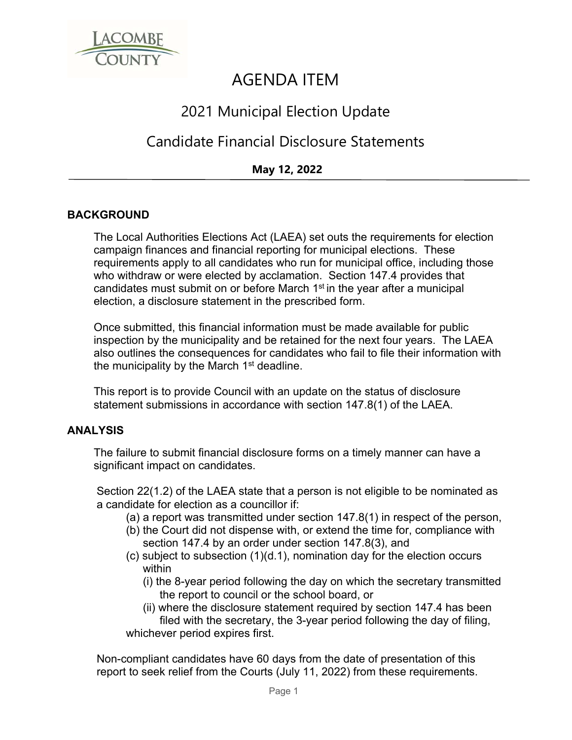

# AGENDA ITEM

## 2021 Municipal Election Update

### Candidate Financial Disclosure Statements

### **May 12, 2022**

#### **BACKGROUND**

The Local Authorities Elections Act (LAEA) set outs the requirements for election campaign finances and financial reporting for municipal elections. These requirements apply to all candidates who run for municipal office, including those who withdraw or were elected by acclamation. Section 147.4 provides that candidates must submit on or before March 1<sup>st</sup> in the year after a municipal election, a disclosure statement in the prescribed form.

Once submitted, this financial information must be made available for public inspection by the municipality and be retained for the next four years. The LAEA also outlines the consequences for candidates who fail to file their information with the municipality by the March  $1<sup>st</sup>$  deadline.

This report is to provide Council with an update on the status of disclosure statement submissions in accordance with section 147.8(1) of the LAEA.

#### **ANALYSIS**

The failure to submit financial disclosure forms on a timely manner can have a significant impact on candidates.

Section 22(1.2) of the LAEA state that a person is not eligible to be nominated as a candidate for election as a councillor if:

- (a) a report was transmitted under section 147.8(1) in respect of the person,
- (b) the Court did not dispense with, or extend the time for, compliance with section 147.4 by an order under section 147.8(3), and
- (c) subject to subsection (1)(d.1), nomination day for the election occurs within
	- (i) the 8-year period following the day on which the secretary transmitted the report to council or the school board, or
- (ii) where the disclosure statement required by section 147.4 has been filed with the secretary, the 3-year period following the day of filing, whichever period expires first.

Non-compliant candidates have 60 days from the date of presentation of this report to seek relief from the Courts (July 11, 2022) from these requirements.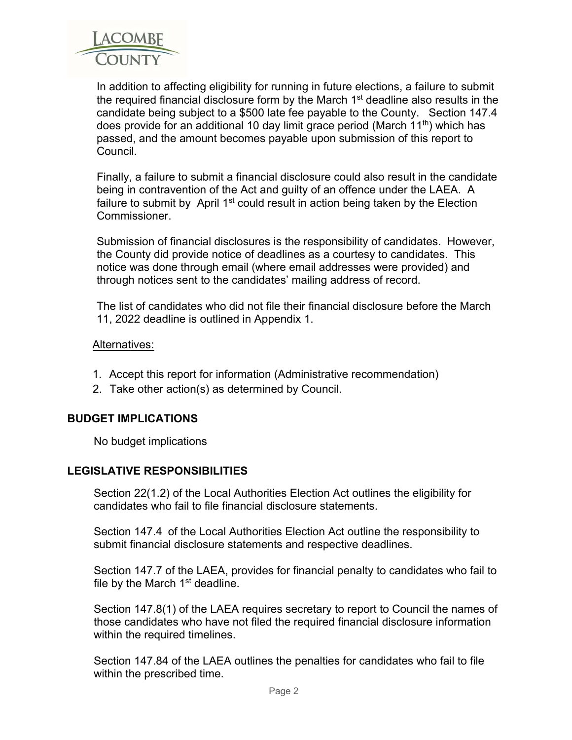

In addition to affecting eligibility for running in future elections, a failure to submit the required financial disclosure form by the March 1<sup>st</sup> deadline also results in the candidate being subject to a \$500 late fee payable to the County. Section 147.4 does provide for an additional 10 day limit grace period (March 11<sup>th</sup>) which has passed, and the amount becomes payable upon submission of this report to Council.

Finally, a failure to submit a financial disclosure could also result in the candidate being in contravention of the Act and guilty of an offence under the LAEA. A failure to submit by April  $1<sup>st</sup>$  could result in action being taken by the Election **Commissioner** 

Submission of financial disclosures is the responsibility of candidates. However, the County did provide notice of deadlines as a courtesy to candidates. This notice was done through email (where email addresses were provided) and through notices sent to the candidates' mailing address of record.

The list of candidates who did not file their financial disclosure before the March 11, 2022 deadline is outlined in Appendix 1.

#### Alternatives:

- 1. Accept this report for information (Administrative recommendation)
- 2. Take other action(s) as determined by Council.

#### **BUDGET IMPLICATIONS**

No budget implications

#### **LEGISLATIVE RESPONSIBILITIES**

Section 22(1.2) of the Local Authorities Election Act outlines the eligibility for candidates who fail to file financial disclosure statements.

Section 147.4 of the Local Authorities Election Act outline the responsibility to submit financial disclosure statements and respective deadlines.

Section 147.7 of the LAEA, provides for financial penalty to candidates who fail to file by the March  $1<sup>st</sup>$  deadline.

Section 147.8(1) of the LAEA requires secretary to report to Council the names of those candidates who have not filed the required financial disclosure information within the required timelines.

Section 147.84 of the LAEA outlines the penalties for candidates who fail to file within the prescribed time.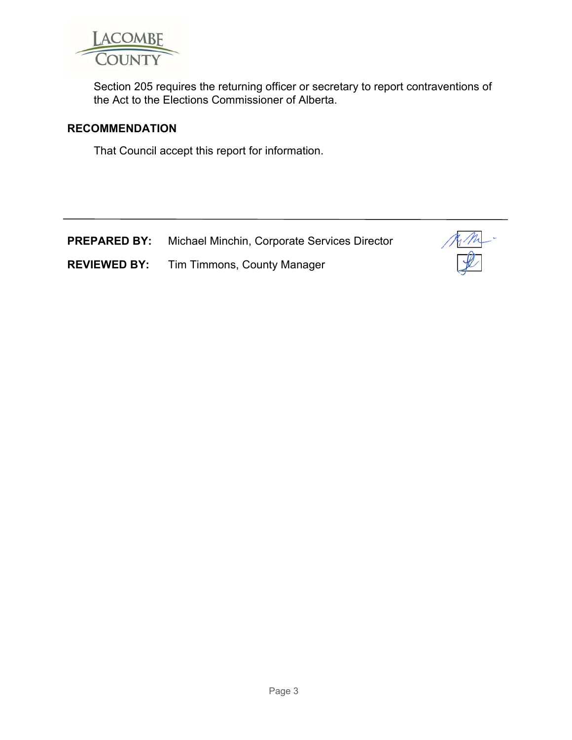

Section 205 requires the returning officer or secretary to report contraventions of the Act to the Elections Commissioner of Alberta.

#### **RECOMMENDATION**

That Council accept this report for information.

|  |  | <b>PREPARED BY:</b> Michael Minchin, Corporate Services Director |
|--|--|------------------------------------------------------------------|
|--|--|------------------------------------------------------------------|

**REVIEWED BY:** Tim Timmons, County Manager